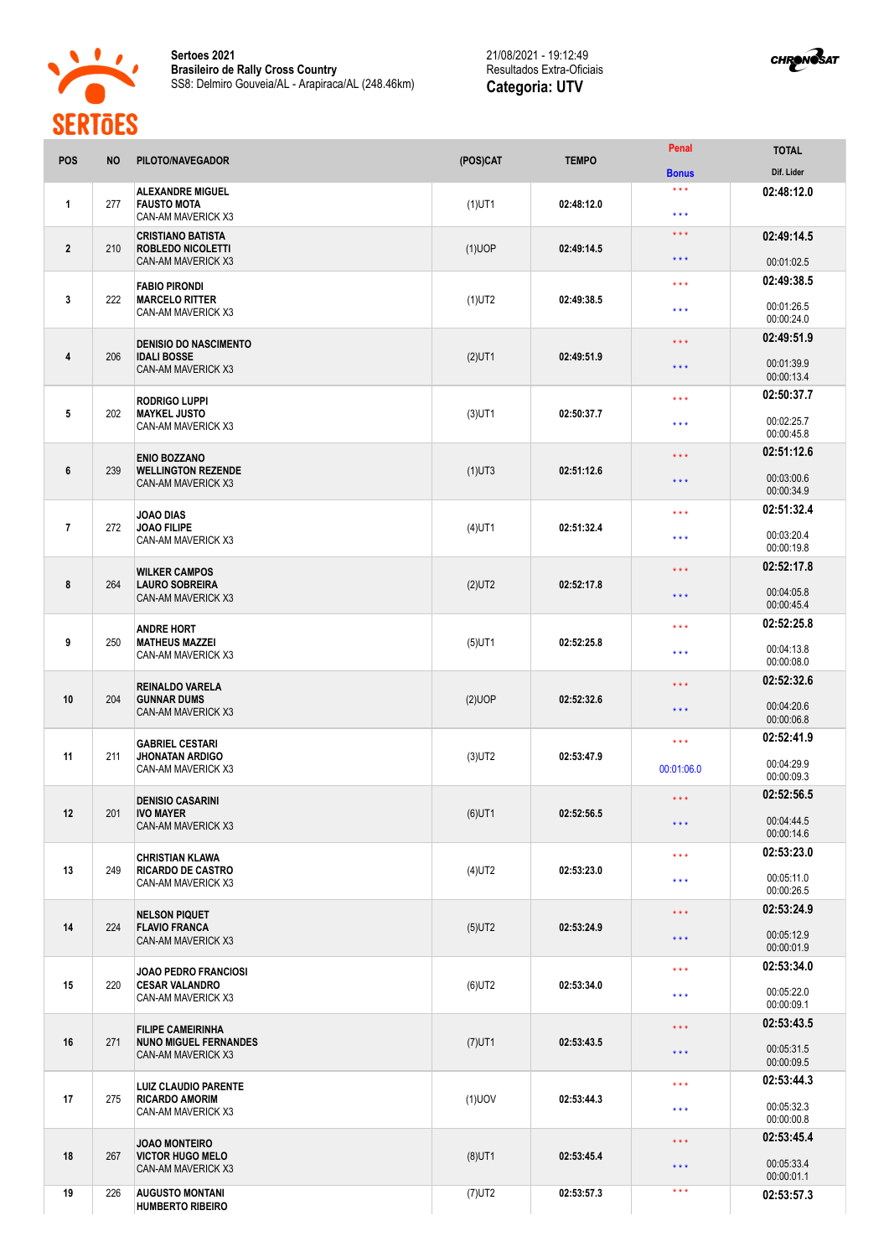

**Sertoes 2021 Brasileiro de Rally Cross Country** SS8: Delmiro Gouveia/AL - Arapiraca/AL (248.46km)

21/08/2021 - 19:12:49 Resultados Extra-Oficiais **Categoria: UTV**



| POS              | <b>NO</b> | PILOTO/NAVEGADOR                                                                | (POS)CAT  | <b>TEMPO</b> | Penal                                          | <b>TOTAL</b>                           |
|------------------|-----------|---------------------------------------------------------------------------------|-----------|--------------|------------------------------------------------|----------------------------------------|
|                  |           |                                                                                 |           |              | <b>Bonus</b>                                   | Dif. Lider                             |
| $\mathbf{1}$     | 277       | <b>ALEXANDRE MIGUEL</b><br><b>FAUSTO MOTA</b><br>CAN-AM MAVERICK X3             | $(1)$ UT1 | 02:48:12.0   | $\star \star \star$<br>$* * *$                 | 02:48:12.0                             |
| $\overline{2}$   | 210       | <b>CRISTIANO BATISTA</b><br><b>ROBLEDO NICOLETTI</b>                            | $(1)$ UOP | 02:49:14.5   | $\star\star\star$                              | 02:49:14.5                             |
|                  |           | CAN-AM MAVERICK X3                                                              |           |              | $\star\star\star$                              | 00:01:02.5                             |
| 3                | 222       | <b>FABIO PIRONDI</b><br><b>MARCELO RITTER</b><br>CAN-AM MAVERICK X3             | $(1)$ UT2 | 02:49:38.5   | $\star$ $\star$ $\star$<br>$\star\star\star$   | 02:49:38.5<br>00:01:26.5<br>00:00:24.0 |
|                  |           |                                                                                 |           |              |                                                | 02:49:51.9                             |
| $\overline{4}$   | 206       | <b>DENISIO DO NASCIMENTO</b><br><b>IDALI BOSSE</b><br><b>CAN-AM MAVERICK X3</b> | $(2)$ UT1 | 02:49:51.9   | $\star$ $\star$ $\star$<br>$\star \star \star$ | 00:01:39.9<br>00:00:13.4               |
|                  |           | <b>RODRIGO LUPPI</b>                                                            |           |              | $\star$ $\star$ $\star$                        | 02:50:37.7                             |
| $5\phantom{.0}$  | 202       | <b>MAYKEL JUSTO</b><br>CAN-AM MAVERICK X3                                       | $(3)$ UT1 | 02:50:37.7   | $\star\star\star$                              | 00:02:25.7<br>00:00:45.8               |
|                  |           | <b>ENIO BOZZANO</b>                                                             |           |              | $\star\star\star$                              | 02:51:12.6                             |
| $\boldsymbol{6}$ | 239       | <b>WELLINGTON REZENDE</b><br>CAN-AM MAVERICK X3                                 | $(1)$ UT3 | 02:51:12.6   | $***$                                          | 00:03:00.6<br>00:00:34.9               |
|                  |           | <b>JOAO DIAS</b>                                                                |           |              | $***$                                          | 02:51:32.4                             |
| $\overline{7}$   | 272       | <b>JOAO FILIPE</b><br>CAN-AM MAVERICK X3                                        | $(4)$ UT1 | 02:51:32.4   | $\star\star\star$                              | 00:03:20.4<br>00:00:19.8               |
|                  |           | <b>WILKER CAMPOS</b>                                                            |           |              | $\star$ $\star$ $\star$                        | 02:52:17.8                             |
| 8                | 264       | <b>LAURO SOBREIRA</b><br>CAN-AM MAVERICK X3                                     | $(2)$ UT2 | 02:52:17.8   | $\star$ $\star$ $\star$                        | 00:04:05.8<br>00:00:45.4               |
|                  |           | <b>ANDRE HORT</b>                                                               |           |              | $***$                                          | 02:52:25.8                             |
| 9                | 250       | <b>MATHEUS MAZZEI</b><br>CAN-AM MAVERICK X3                                     | $(5)$ UT1 | 02:52:25.8   | $\star\star\star$                              | 00:04:13.8<br>00:00:08.0               |
|                  |           | <b>REINALDO VARELA</b>                                                          |           |              | $* * *$                                        | 02:52:32.6                             |
| 10               | 204       | <b>GUNNAR DUMS</b><br>CAN-AM MAVERICK X3                                        | (2)UOP    | 02:52:32.6   | $***$                                          | 00:04:20.6<br>00:00:06.8               |
|                  |           | <b>GABRIEL CESTARI</b>                                                          |           |              | $\star\star\star$                              | 02:52:41.9                             |
| 11               | 211       | <b>JHONATAN ARDIGO</b><br>CAN-AM MAVERICK X3                                    | $(3)$ UT2 | 02:53:47.9   | 00:01:06.0                                     | 00:04:29.9<br>00:00:09.3               |
|                  |           | <b>DENISIO CASARINI</b>                                                         |           |              | $***$                                          | 02:52:56.5                             |
| 12               | 201       | <b>IVO MAYER</b><br>CAN-AM MAVERICK X3                                          | $(6)$ UT1 | 02:52:56.5   | $***$                                          | 00:04:44.5<br>00:00:14.6               |
|                  |           | <b>CHRISTIAN KLAWA</b>                                                          |           |              | $\star\star\star$                              | 02:53:23.0                             |
| 13               | 249       | <b>RICARDO DE CASTRO</b><br>CAN-AM MAVERICK X3                                  | $(4)$ UT2 | 02:53:23.0   | $\star\star\star$                              | 00:05:11.0<br>00:00:26.5               |
|                  |           | <b>NELSON PIQUET</b>                                                            |           |              | $\star\star\star$                              | 02:53:24.9                             |
| 14               | 224       | <b>FLAVIO FRANCA</b><br><b>CAN-AM MAVERICK X3</b>                               | $(5)$ UT2 | 02:53:24.9   | $\star$ $\star$ $\star$                        | 00:05:12.9<br>00:00:01.9               |
|                  |           | JOAO PEDRO FRANCIOSI                                                            |           |              | $\star\star\star$                              | 02:53:34.0                             |
| 15               | 220       | <b>CESAR VALANDRO</b><br>CAN-AM MAVERICK X3                                     | $(6)$ UT2 | 02:53:34.0   | $\star\star\star$                              | 00:05:22.0<br>00:00:09.1               |
|                  |           | <b>FILIPE CAMEIRINHA</b>                                                        |           |              | $\star\star\star$                              | 02:53:43.5                             |
| 16               | 271       | <b>NUNO MIGUEL FERNANDES</b><br>CAN-AM MAVERICK X3                              | $(7)$ UT1 | 02:53:43.5   | $\star$ $\star$ $\star$                        | 00:05:31.5<br>00:00:09.5               |
|                  |           | <b>LUIZ CLAUDIO PARENTE</b>                                                     |           |              | $\star\star\star$                              | 02:53:44.3                             |
| 17               | 275       | <b>RICARDO AMORIM</b><br>CAN-AM MAVERICK X3                                     | $(1)$ UOV | 02:53:44.3   | $\star\star\star$                              | 00:05:32.3<br>00:00:00.8               |
|                  |           | <b>JOAO MONTEIRO</b>                                                            |           |              | $\star\star\star$                              | 02:53:45.4                             |
| 18               | 267       | <b>VICTOR HUGO MELO</b><br>CAN-AM MAVERICK X3                                   | $(8)$ UT1 | 02:53:45.4   | $\star$ $\star$ $\star$                        | 00:05:33.4<br>00:00:01.1               |
| 19               | 226       | <b>AUGUSTO MONTANI</b><br><b>HUMBERTO RIBEIRO</b>                               | $(7)$ UT2 | 02:53:57.3   | $\star$ $\star$ $\star$                        | 02:53:57.3                             |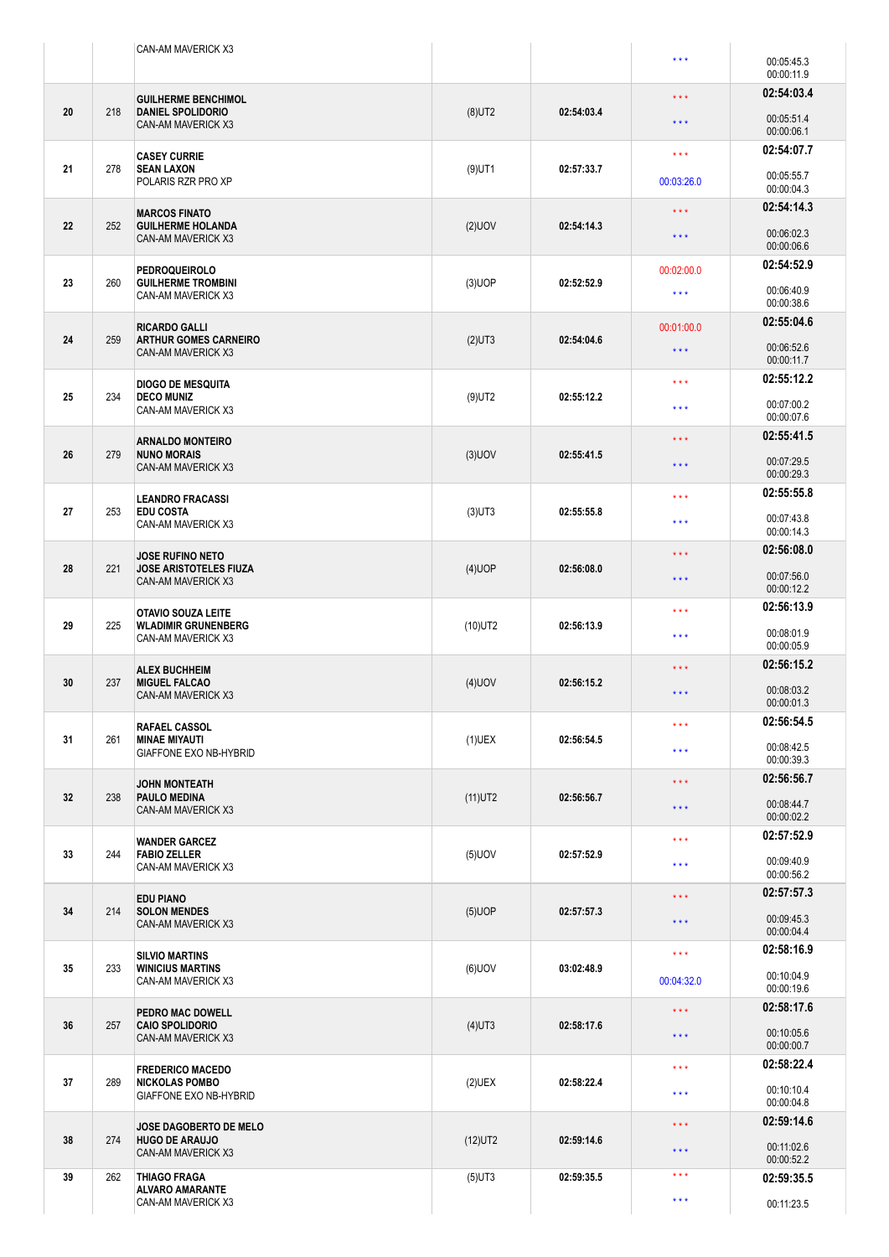|    |     | CAN-AM MAVERICK X3                                         |            |            |                         |                          |
|----|-----|------------------------------------------------------------|------------|------------|-------------------------|--------------------------|
|    |     |                                                            |            |            | ***                     | 00:05:45.3<br>00:00:11.9 |
|    |     | <b>GUILHERME BENCHIMOL</b>                                 |            |            | * * *                   | 02:54:03.4               |
| 20 | 218 | <b>DANIEL SPOLIDORIO</b><br><b>CAN-AM MAVERICK X3</b>      | $(8)$ UT2  | 02:54:03.4 | $\star$ $\star$ $\star$ | 00:05:51.4<br>00:00:06.1 |
|    |     | <b>CASEY CURRIE</b>                                        |            |            | $\star$ $\star$ $\star$ | 02:54:07.7               |
| 21 | 278 | <b>SEAN LAXON</b><br>POLARIS RZR PRO XP                    | $(9)$ UT1  | 02:57:33.7 | 00:03:26.0              | 00:05:55.7<br>00:00:04.3 |
|    |     | <b>MARCOS FINATO</b>                                       |            |            | * * *                   | 02:54:14.3               |
| 22 | 252 | <b>GUILHERME HOLANDA</b><br>CAN-AM MAVERICK X3             | $(2)$ UOV  | 02:54:14.3 | $\star \star \star$     | 00:06:02.3<br>00:00:06.6 |
|    |     | <b>PEDROQUEIROLO</b>                                       |            |            | 00:02:00.0              | 02:54:52.9               |
| 23 | 260 | <b>GUILHERME TROMBINI</b><br>CAN-AM MAVERICK X3            | $(3)$ UOP  | 02:52:52.9 | $\star\star\star$       | 00:06:40.9<br>00:00:38.6 |
|    |     | <b>RICARDO GALLI</b>                                       |            |            | 00:01:00.0              | 02:55:04.6               |
| 24 | 259 | <b>ARTHUR GOMES CARNEIRO</b><br><b>CAN-AM MAVERICK X3</b>  | $(2)$ UT3  | 02:54:04.6 | $\star$ $\star$ $\star$ | 00:06:52.6<br>00:00:11.7 |
|    |     | <b>DIOGO DE MESQUITA</b>                                   |            |            | * * *                   | 02:55:12.2               |
| 25 | 234 | <b>DECO MUNIZ</b><br><b>CAN-AM MAVERICK X3</b>             | $(9)$ UT2  | 02:55:12.2 | $\star \star \star$     | 00:07:00.2<br>00:00:07.6 |
|    |     | <b>ARNALDO MONTEIRO</b>                                    |            |            | * * *                   | 02:55:41.5               |
| 26 | 279 | <b>NUNO MORAIS</b><br><b>CAN-AM MAVERICK X3</b>            | $(3)$ UOV  | 02:55:41.5 | $\star \star \star$     | 00:07:29.5<br>00:00:29.3 |
|    |     | <b>LEANDRO FRACASSI</b>                                    |            |            | $\star\star\star$       | 02:55:55.8               |
| 27 | 253 | <b>EDU COSTA</b><br>CAN-AM MAVERICK X3                     | $(3)$ UT3  | 02:55:55.8 | $***$                   | 00:07:43.8<br>00:00:14.3 |
|    |     | <b>JOSE RUFINO NETO</b>                                    |            |            | $\star\star\star$       | 02:56:08.0               |
| 28 | 221 | <b>JOSE ARISTOTELES FIUZA</b><br><b>CAN-AM MAVERICK X3</b> | $(4)$ UOP  | 02:56:08.0 | $\star \star \star$     | 00:07:56.0<br>00:00:12.2 |
|    |     | <b>OTAVIO SOUZA LEITE</b>                                  |            |            | * * *                   | 02:56:13.9               |
| 29 | 225 | <b>WLADIMIR GRUNENBERG</b><br>CAN-AM MAVERICK X3           | $(10)$ UT2 | 02:56:13.9 | $***$                   | 00:08:01.9<br>00:00:05.9 |
|    |     | <b>ALEX BUCHHEIM</b>                                       |            |            | ***                     | 02:56:15.2               |
| 30 | 237 | <b>MIGUEL FALCAO</b><br><b>CAN-AM MAVERICK X3</b>          | $(4)$ UOV  | 02:56:15.2 | $***$                   | 00:08:03.2<br>00:00:01.3 |
|    |     | <b>RAFAEL CASSOL</b>                                       |            |            | $\star\star\star$       | 02:56:54.5               |
| 31 | 261 | <b>MINAE MIYAUTI</b><br>GIAFFONE EXO NB-HYBRID             | $(1)$ UEX  | 02:56:54.5 | $***$                   | 00:08:42.5<br>00:00:39.3 |
|    |     | <b>JOHN MONTEATH</b>                                       |            |            | $\star \star \star$     | 02:56:56.7               |
| 32 | 238 | <b>PAULO MEDINA</b><br>CAN-AM MAVERICK X3                  | $(11)$ UT2 | 02:56:56.7 | $***$                   | 00:08:44.7<br>00:00:02.2 |
|    |     | <b>WANDER GARCEZ</b>                                       |            |            | * * *                   | 02:57:52.9               |
| 33 | 244 | <b>FABIO ZELLER</b><br><b>CAN-AM MAVERICK X3</b>           | $(5)$ UOV  | 02:57:52.9 | $\star\star\star$       | 00:09:40.9<br>00:00:56.2 |
|    |     | <b>EDU PIANO</b>                                           |            |            | $\star \star \star$     | 02:57:57.3               |
| 34 | 214 | <b>SOLON MENDES</b><br>CAN-AM MAVERICK X3                  | $(5)$ UOP  | 02:57:57.3 | $***$                   | 00:09:45.3<br>00:00:04.4 |
|    |     | <b>SILVIO MARTINS</b>                                      |            |            | $\star$ $\star$ $\star$ | 02:58:16.9               |
| 35 | 233 | <b>WINICIUS MARTINS</b><br>CAN-AM MAVERICK X3              | $(6)$ UOV  | 03:02:48.9 | 00:04:32.0              | 00:10:04.9<br>00:00:19.6 |
|    |     | <b>PEDRO MAC DOWELL</b>                                    |            |            | $\star\star\star$       | 02:58:17.6               |
| 36 | 257 | <b>CAIO SPOLIDORIO</b><br>CAN-AM MAVERICK X3               | $(4)$ UT3  | 02:58:17.6 | $***$                   | 00:10:05.6<br>00:00:00.7 |
|    |     | <b>FREDERICO MACEDO</b>                                    |            |            | $\star$ $\star$ $\star$ | 02:58:22.4               |
| 37 | 289 | <b>NICKOLAS POMBO</b><br><b>GIAFFONE EXO NB-HYBRID</b>     | $(2)$ UEX  | 02:58:22.4 | $\star$ $\star$ $\star$ | 00:10:10.4<br>00:00:04.8 |
|    |     | <b>JOSE DAGOBERTO DE MELO</b>                              |            |            | * * *                   | 02:59:14.6               |
| 38 | 274 | <b>HUGO DE ARAUJO</b><br>CAN-AM MAVERICK X3                | $(12)$ UT2 | 02:59:14.6 | $\star\star\star$       | 00:11:02.6<br>00:00:52.2 |
| 39 | 262 | <b>THIAGO FRAGA</b>                                        | $(5)$ UT3  | 02:59:35.5 | $* * *$                 | 02:59:35.5               |
|    |     | <b>ALVARO AMARANTE</b><br>CAN-AM MAVERICK X3               |            |            | $\star\star\star$       | 00:11:23.5               |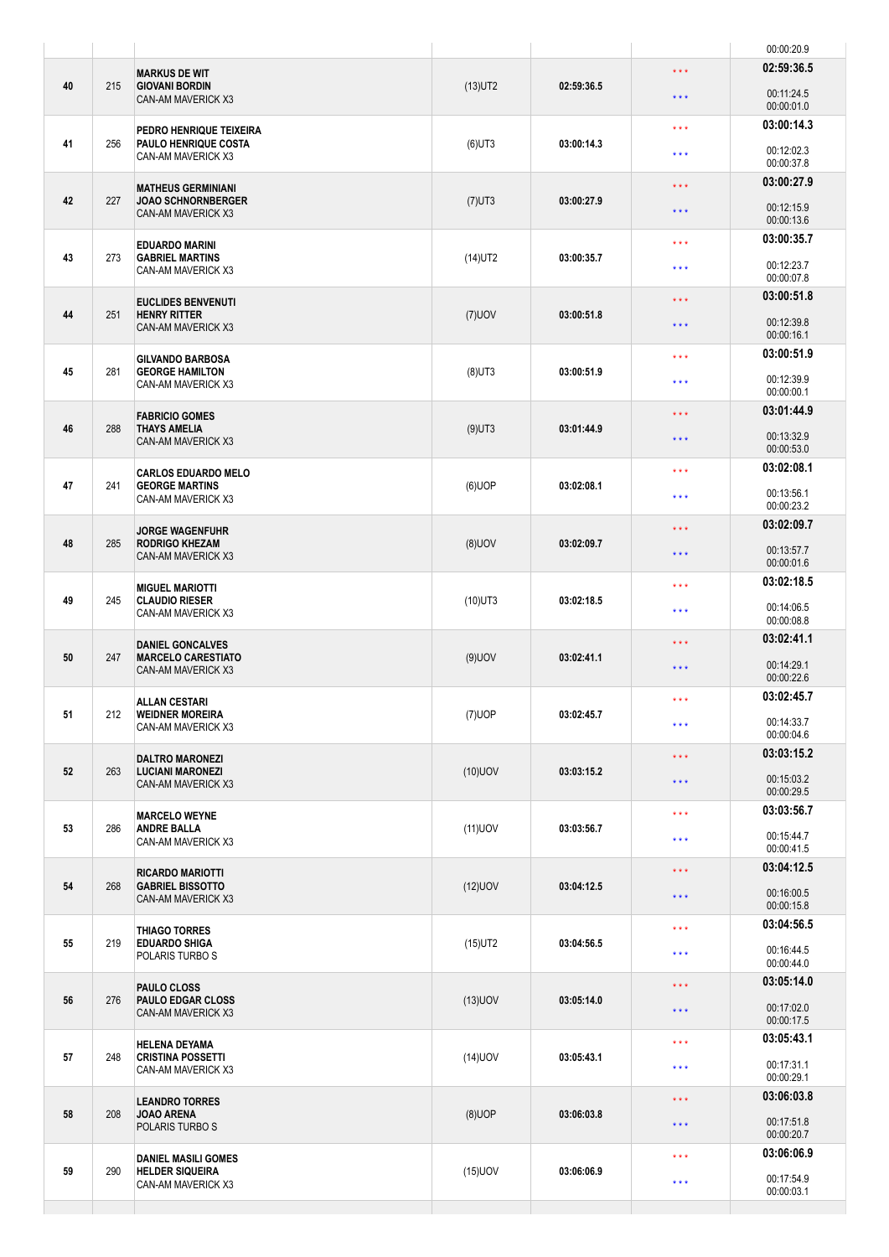|    |     |                                                                            |            |            |                                  | 00:00:20.9                             |
|----|-----|----------------------------------------------------------------------------|------------|------------|----------------------------------|----------------------------------------|
| 40 | 215 | <b>MARKUS DE WIT</b><br><b>GIOVANI BORDIN</b><br><b>CAN-AM MAVERICK X3</b> | $(13)$ UT2 | 02:59:36.5 | $\star \star \star$<br>$***$     | 02:59:36.5<br>00:11:24.5<br>00:00:01.0 |
| 41 | 256 | PEDRO HENRIQUE TEIXEIRA<br>PAULO HENRIQUE COSTA                            | $(6)$ UT3  | 03:00:14.3 | $* * *$                          | 03:00:14.3                             |
|    |     | CAN-AM MAVERICK X3                                                         |            |            | $***$                            | 00:12:02.3<br>00:00:37.8               |
| 42 | 227 | <b>MATHEUS GERMINIANI</b><br><b>JOAO SCHNORNBERGER</b>                     | $(7)$ UT3  | 03:00:27.9 | $***$                            | 03:00:27.9<br>00:12:15.9               |
|    |     | CAN-AM MAVERICK X3                                                         |            |            | $***$                            | 00:00:13.6<br>03:00:35.7               |
| 43 | 273 | <b>EDUARDO MARINI</b><br><b>GABRIEL MARTINS</b><br>CAN-AM MAVERICK X3      | $(14)$ UT2 | 03:00:35.7 | $* * *$<br>$***$                 | 00:12:23.7<br>00:00:07.8               |
|    |     | <b>EUCLIDES BENVENUTI</b>                                                  |            |            | $\star \star \star$              | 03:00:51.8                             |
| 44 | 251 | <b>HENRY RITTER</b><br>CAN-AM MAVERICK X3                                  | $(7)$ UOV  | 03:00:51.8 | $***$                            | 00:12:39.8<br>00:00:16.1               |
| 45 | 281 | <b>GILVANDO BARBOSA</b><br><b>GEORGE HAMILTON</b>                          | $(8)$ UT3  | 03:00:51.9 | $***$                            | 03:00:51.9                             |
|    |     | CAN-AM MAVERICK X3                                                         |            |            | $***$                            | 00:12:39.9<br>00:00:00.1               |
| 46 | 288 | <b>FABRICIO GOMES</b><br><b>THAYS AMELIA</b>                               | $(9)$ UT3  | 03:01:44.9 | $\star \star \star$              | 03:01:44.9                             |
|    |     | CAN-AM MAVERICK X3                                                         |            |            | $***$                            | 00:13:32.9<br>00:00:53.0               |
| 47 | 241 | <b>CARLOS EDUARDO MELO</b><br><b>GEORGE MARTINS</b>                        | $(6)$ UOP  | 03:02:08.1 | $***$                            | 03:02:08.1                             |
|    |     | CAN-AM MAVERICK X3                                                         |            |            | $***$                            | 00:13:56.1<br>00:00:23.2               |
| 48 | 285 | <b>JORGE WAGENFUHR</b><br><b>RODRIGO KHEZAM</b>                            | $(8)$ UOV  | 03:02:09.7 | $\star \star \star$<br>$***$     | 03:02:09.7<br>00:13:57.7               |
|    |     | <b>CAN-AM MAVERICK X3</b>                                                  |            |            |                                  | 00:00:01.6<br>03:02:18.5               |
| 49 | 245 | <b>MIGUEL MARIOTTI</b><br><b>CLAUDIO RIESER</b><br>CAN-AM MAVERICK X3      | $(10)$ UT3 | 03:02:18.5 | $***$<br>$\star \star \star$     | 00:14:06.5                             |
|    |     | <b>DANIEL GONCALVES</b>                                                    |            |            | $***$                            | 00:00:08.8<br>03:02:41.1               |
| 50 | 247 | <b>MARCELO CARESTIATO</b><br>CAN-AM MAVERICK X3                            | $(9)$ UOV  | 03:02:41.1 | $***$                            | 00:14:29.1<br>00:00:22.6               |
|    | 212 | <b>ALLAN CESTARI</b>                                                       |            | 03:02:45.7 | $***$                            | 03:02:45.7                             |
| 51 |     | <b>WEIDNER MOREIRA</b><br>CAN-AM MAVERICK X3                               | $(7)$ UOP  |            | $***$                            | 00:14:33.7<br>00:00:04.6               |
| 52 | 263 | <b>DALTRO MARONEZI</b><br><b>LUCIANI MARONEZI</b>                          | $(10)$ UOV | 03:03:15.2 | $***$                            | 03:03:15.2                             |
|    |     | CAN-AM MAVERICK X3                                                         |            |            | $***$                            | 00:15:03.2<br>00:00:29.5               |
| 53 | 286 | <b>MARCELO WEYNE</b><br><b>ANDRE BALLA</b>                                 | $(11)$ UOV | 03:03:56.7 | $\star \star \star$              | 03:03:56.7                             |
|    |     | CAN-AM MAVERICK X3                                                         |            |            | $***$                            | 00:15:44.7<br>00:00:41.5               |
| 54 | 268 | <b>RICARDO MARIOTTI</b><br><b>GABRIEL BISSOTTO</b>                         | $(12)$ UOV | 03:04:12.5 | $\star$ $\star$ $\star$<br>$***$ | 03:04:12.5<br>00:16:00.5               |
|    |     | CAN-AM MAVERICK X3                                                         |            |            |                                  | 00:00:15.8<br>03:04:56.5               |
| 55 | 219 | <b>THIAGO TORRES</b><br><b>EDUARDO SHIGA</b><br>POLARIS TURBO S            | $(15)$ UT2 | 03:04:56.5 | $\star \star \star$<br>$***$     | 00:16:44.5<br>00:00:44.0               |
|    |     | <b>PAULO CLOSS</b>                                                         |            |            | $***$                            | 03:05:14.0                             |
| 56 | 276 | <b>PAULO EDGAR CLOSS</b><br>CAN-AM MAVERICK X3                             | $(13)$ UOV | 03:05:14.0 | $\star \star \star$              | 00:17:02.0<br>00:00:17.5               |
| 57 | 248 | <b>HELENA DEYAMA</b><br><b>CRISTINA POSSETTI</b><br>CAN-AM MAVERICK X3     | $(14)$ UOV | 03:05:43.1 | $\star \star \star$              | 03:05:43.1                             |
|    |     |                                                                            |            |            | $\star$ $\star$ $\star$          | 00:17:31.1<br>00:00:29.1               |
| 58 | 208 | <b>LEANDRO TORRES</b><br><b>JOAO ARENA</b>                                 | $(8)$ UOP  | 03:06:03.8 | $***$                            | 03:06:03.8                             |
|    |     | POLARIS TURBO S                                                            |            |            | $***$                            | 00:17:51.8<br>00:00:20.7               |
| 59 | 290 | <b>DANIEL MASILI GOMES</b><br><b>HELDER SIQUEIRA</b>                       | $(15)$ UOV | 03:06:06.9 | $\star\star\star$                | 03:06:06.9<br>00:17:54.9               |
|    |     | CAN-AM MAVERICK X3                                                         |            |            | $***$                            | 00:00:03.1                             |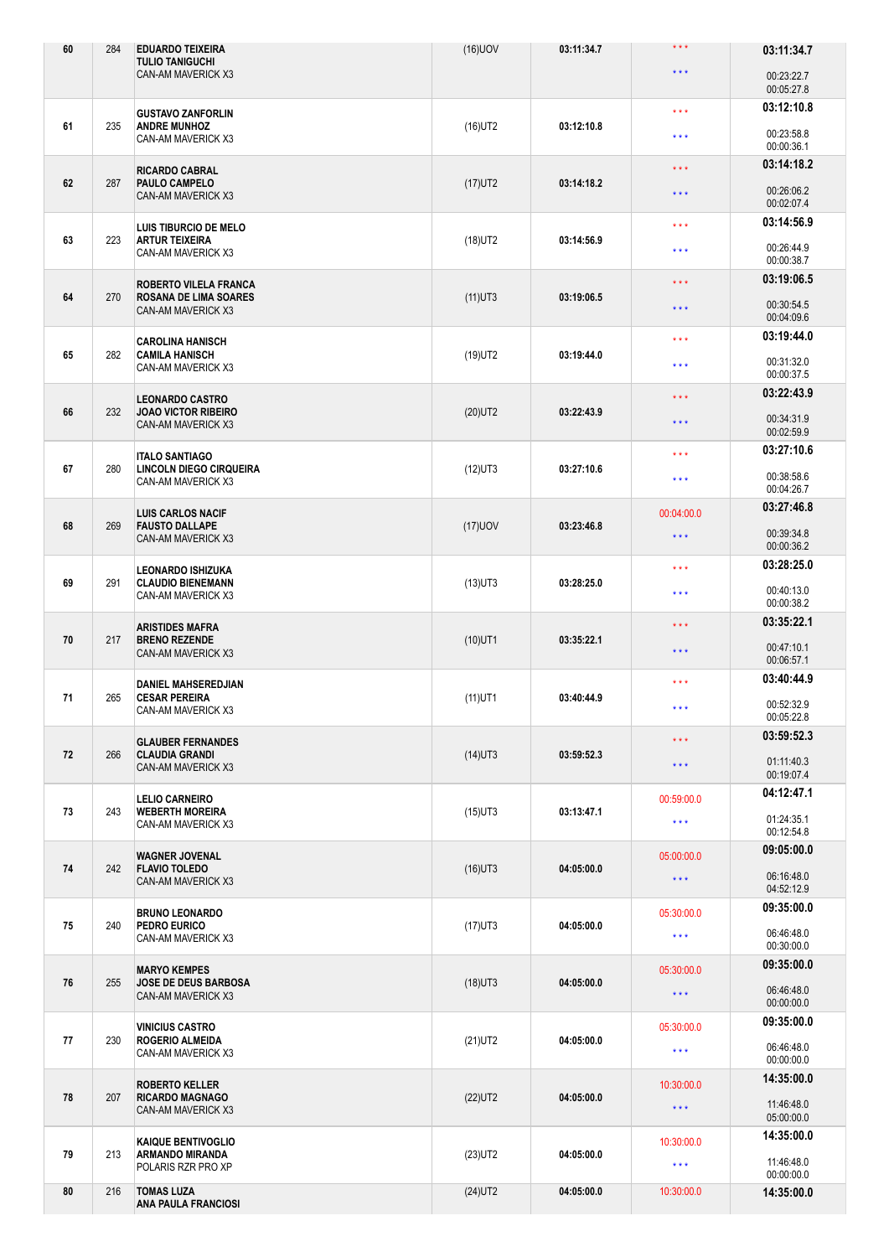| 60 | 284 | <b>EDUARDO TEIXEIRA</b><br><b>TULIO TANIGUCHI</b>         | $(16)$ UOV | 03:11:34.7 | $***$                   | 03:11:34.7               |
|----|-----|-----------------------------------------------------------|------------|------------|-------------------------|--------------------------|
|    |     | <b>CAN-AM MAVERICK X3</b>                                 |            |            | $\star \star \star$     | 00:23:22.7<br>00:05:27.8 |
|    |     | <b>GUSTAVO ZANFORLIN</b>                                  |            |            | $\star$ $\star$ $\star$ | 03:12:10.8               |
| 61 | 235 | <b>ANDRE MUNHOZ</b><br>CAN-AM MAVERICK X3                 | $(16)$ UT2 | 03:12:10.8 | $***$                   | 00:23:58.8<br>00:00:36.1 |
|    |     | <b>RICARDO CABRAL</b>                                     |            |            | $\star \star \star$     | 03:14:18.2               |
| 62 | 287 | PAULO CAMPELO<br><b>CAN-AM MAVERICK X3</b>                | $(17)$ UT2 | 03:14:18.2 | $\star$ $\star$ $\star$ | 00:26:06.2<br>00:02:07.4 |
|    |     | LUIS TIBURCIO DE MELO                                     |            |            | $\star \star \star$     | 03:14:56.9               |
| 63 | 223 | <b>ARTUR TEIXEIRA</b><br>CAN-AM MAVERICK X3               | $(18)$ UT2 | 03:14:56.9 | $***$                   | 00:26:44.9<br>00:00:38.7 |
|    |     | ROBERTO VILELA FRANCA                                     |            |            | $\star \star \star$     | 03:19:06.5               |
| 64 | 270 | <b>ROSANA DE LIMA SOARES</b><br><b>CAN-AM MAVERICK X3</b> | $(11)$ UT3 | 03:19:06.5 | $\star$ $\star$ $\star$ | 00:30:54.5<br>00:04:09.6 |
|    |     | <b>CAROLINA HANISCH</b>                                   |            |            | $\star$ $\star$ $\star$ | 03:19:44.0               |
| 65 | 282 | <b>CAMILA HANISCH</b><br><b>CAN-AM MAVERICK X3</b>        | $(19)$ UT2 | 03:19:44.0 | ***                     | 00:31:32.0<br>00:00:37.5 |
|    |     | <b>LEONARDO CASTRO</b>                                    |            |            | $\star \star \star$     | 03:22:43.9               |
| 66 | 232 | <b>JOAO VICTOR RIBEIRO</b><br>CAN-AM MAVERICK X3          | $(20)$ UT2 | 03:22:43.9 | $\star$ $\star$ $\star$ | 00:34:31.9<br>00:02:59.9 |
|    |     | <b>ITALO SANTIAGO</b>                                     |            |            | $\star \star \star$     | 03:27:10.6               |
| 67 | 280 | LINCOLN DIEGO CIRQUEIRA<br>CAN-AM MAVERICK X3             | $(12)$ UT3 | 03:27:10.6 | $\star$ $\star$ $\star$ | 00:38:58.6<br>00:04:26.7 |
|    |     | <b>LUIS CARLOS NACIF</b>                                  |            |            | 00:04:00.0              | 03:27:46.8               |
| 68 | 269 | <b>FAUSTO DALLAPE</b><br><b>CAN-AM MAVERICK X3</b>        | $(17)$ UOV | 03:23:46.8 | $\star$ $\star$ $\star$ | 00:39:34.8<br>00:00:36.2 |
|    |     | <b>LEONARDO ISHIZUKA</b>                                  |            | 03:28:25.0 | $\star \star \star$     | 03:28:25.0               |
| 69 | 291 | <b>CLAUDIO BIENEMANN</b><br>CAN-AM MAVERICK X3            | $(13)$ UT3 |            | $\star \star \star$     | 00:40:13.0<br>00:00:38.2 |
|    |     | <b>ARISTIDES MAFRA</b>                                    |            |            | $\star$ $\star$ $\star$ | 03:35:22.1               |
| 70 | 217 | <b>BRENO REZENDE</b><br>CAN-AM MAVERICK X3                | $(10)$ UT1 | 03:35:22.1 | $\star$ $\star$ $\star$ | 00:47:10.1<br>00:06:57.1 |
|    |     | <b>DANIEL MAHSEREDJIAN</b>                                |            |            | $***$                   | 03:40:44.9               |
| 71 | 265 | <b>CESAR PEREIRA</b><br>CAN-AM MAVERICK X3                | $(11)$ UT1 | 03:40:44.9 | $\star\star\star$       | 00:52:32.9<br>00:05:22.8 |
|    |     | <b>GLAUBER FERNANDES</b>                                  |            |            | $\star \star \star$     | 03:59:52.3               |
| 72 | 266 | <b>CLAUDIA GRANDI</b><br><b>CAN-AM MAVERICK X3</b>        | $(14)$ UT3 | 03:59:52.3 | $\star$ $\star$ $\star$ | 01:11:40.3<br>00:19:07.4 |
|    |     | <b>LELIO CARNEIRO</b>                                     |            |            | 00:59:00.0              | 04:12:47.1               |
| 73 | 243 | <b>WEBERTH MOREIRA</b><br>CAN-AM MAVERICK X3              | $(15)$ UT3 | 03:13:47.1 | $\star\star\star$       | 01:24:35.1<br>00:12:54.8 |
|    |     | <b>WAGNER JOVENAL</b>                                     |            |            | 05:00:00.0              | 09:05:00.0               |
| 74 | 242 | <b>FLAVIO TOLEDO</b><br>CAN-AM MAVERICK X3                | $(16)$ UT3 | 04:05:00.0 | $\star\star\star$       | 06:16:48.0<br>04:52:12.9 |
|    |     | <b>BRUNO LEONARDO</b>                                     |            |            | 05:30:00.0              | 09:35:00.0               |
| 75 | 240 | PEDRO EURICO<br>CAN-AM MAVERICK X3                        | $(17)$ UT3 | 04:05:00.0 | $\star\star\star$       | 06:46:48.0<br>00:30:00.0 |
|    |     | <b>MARYO KEMPES</b>                                       |            |            | 05:30:00.0              | 09:35:00.0               |
| 76 | 255 | <b>JOSE DE DEUS BARBOSA</b><br>CAN-AM MAVERICK X3         | $(18)$ UT3 | 04:05:00.0 | $\star$ $\star$ $\star$ | 06:46:48.0<br>00:00:00.0 |
|    |     | <b>VINICIUS CASTRO</b>                                    |            |            | 05:30:00.0              | 09:35:00.0               |
| 77 | 230 | <b>ROGERIO ALMEIDA</b><br>CAN-AM MAVERICK X3              | $(21)$ UT2 | 04:05:00.0 | $\star\star\star$       | 06:46:48.0<br>00:00:00.0 |
|    |     | <b>ROBERTO KELLER</b>                                     |            |            | 10:30:00.0              | 14:35:00.0               |
| 78 | 207 | <b>RICARDO MAGNAGO</b><br>CAN-AM MAVERICK X3              | $(22)$ UT2 | 04:05:00.0 | $***$                   | 11:46:48.0<br>05:00:00.0 |
|    |     | <b>KAIQUE BENTIVOGLIO</b>                                 |            |            | 10:30:00.0              | 14:35:00.0               |
| 79 | 213 | <b>ARMANDO MIRANDA</b><br>POLARIS RZR PRO XP              | $(23)$ UT2 | 04:05:00.0 | $\star\star\star$       | 11:46:48.0<br>00:00:00.0 |
| 80 | 216 | <b>TOMAS LUZA</b><br><b>ANA PAULA FRANCIOSI</b>           | $(24)$ UT2 | 04:05:00.0 | 10:30:00.0              | 14:35:00.0               |